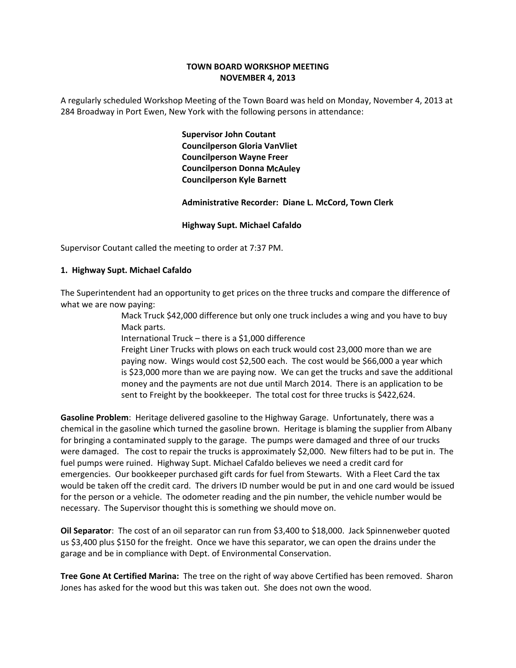# **TOWN BOARD WORKSHOP MEETING NOVEMBER 4, 2013**

A regularly scheduled Workshop Meeting of the Town Board was held on Monday, November 4, 2013 at 284 Broadway in Port Ewen, New York with the following persons in attendance:

> **Supervisor John Coutant Councilperson Gloria VanVliet Councilperson Wayne Freer Councilperson Donna McAuley Councilperson Kyle Barnett**

 **Administrative Recorder: Diane L. McCord, Town Clerk**

# **Highway Supt. Michael Cafaldo**

Supervisor Coutant called the meeting to order at 7:37 PM.

## **1. Highway Supt. Michael Cafaldo**

The Superintendent had an opportunity to get prices on the three trucks and compare the difference of what we are now paying:

> Mack Truck \$42,000 difference but only one truck includes a wing and you have to buy Mack parts.

International Truck – there is a \$1,000 difference

Freight Liner Trucks with plows on each truck would cost 23,000 more than we are paying now. Wings would cost \$2,500 each. The cost would be \$66,000 a year which is \$23,000 more than we are paying now. We can get the trucks and save the additional money and the payments are not due until March 2014. There is an application to be sent to Freight by the bookkeeper. The total cost for three trucks is \$422,624.

**Gasoline Problem**: Heritage delivered gasoline to the Highway Garage. Unfortunately, there was a chemical in the gasoline which turned the gasoline brown. Heritage is blaming the supplier from Albany for bringing a contaminated supply to the garage. The pumps were damaged and three of our trucks were damaged. The cost to repair the trucks is approximately \$2,000. New filters had to be put in. The fuel pumps were ruined. Highway Supt. Michael Cafaldo believes we need a credit card for emergencies. Our bookkeeper purchased gift cards for fuel from Stewarts. With a Fleet Card the tax would be taken off the credit card. The drivers ID number would be put in and one card would be issued for the person or a vehicle. The odometer reading and the pin number, the vehicle number would be necessary. The Supervisor thought this is something we should move on.

**Oil Separator**: The cost of an oil separator can run from \$3,400 to \$18,000. Jack Spinnenweber quoted us \$3,400 plus \$150 for the freight. Once we have this separator, we can open the drains under the garage and be in compliance with Dept. of Environmental Conservation.

**Tree Gone At Certified Marina:** The tree on the right of way above Certified has been removed. Sharon Jones has asked for the wood but this was taken out. She does not own the wood.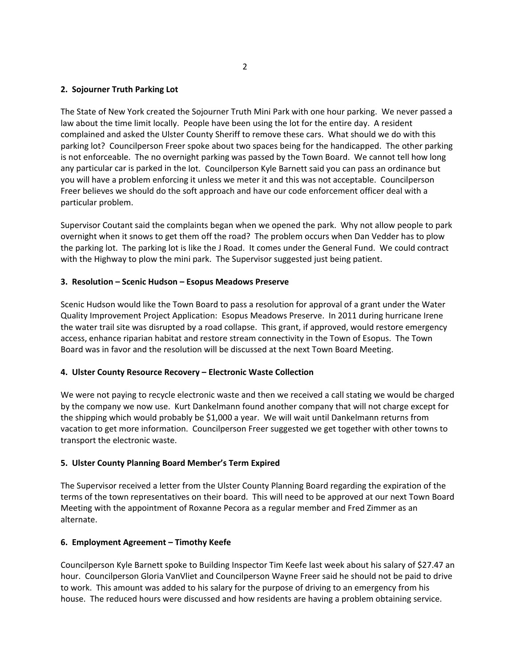# **2. Sojourner Truth Parking Lot**

The State of New York created the Sojourner Truth Mini Park with one hour parking. We never passed a law about the time limit locally. People have been using the lot for the entire day. A resident complained and asked the Ulster County Sheriff to remove these cars. What should we do with this parking lot? Councilperson Freer spoke about two spaces being for the handicapped. The other parking is not enforceable. The no overnight parking was passed by the Town Board. We cannot tell how long any particular car is parked in the lot. Councilperson Kyle Barnett said you can pass an ordinance but you will have a problem enforcing it unless we meter it and this was not acceptable. Councilperson Freer believes we should do the soft approach and have our code enforcement officer deal with a particular problem.

Supervisor Coutant said the complaints began when we opened the park. Why not allow people to park overnight when it snows to get them off the road? The problem occurs when Dan Vedder has to plow the parking lot. The parking lot is like the J Road. It comes under the General Fund. We could contract with the Highway to plow the mini park. The Supervisor suggested just being patient.

# **3. Resolution – Scenic Hudson – Esopus Meadows Preserve**

Scenic Hudson would like the Town Board to pass a resolution for approval of a grant under the Water Quality Improvement Project Application: Esopus Meadows Preserve. In 2011 during hurricane Irene the water trail site was disrupted by a road collapse. This grant, if approved, would restore emergency access, enhance riparian habitat and restore stream connectivity in the Town of Esopus. The Town Board was in favor and the resolution will be discussed at the next Town Board Meeting.

# **4. Ulster County Resource Recovery – Electronic Waste Collection**

We were not paying to recycle electronic waste and then we received a call stating we would be charged by the company we now use. Kurt Dankelmann found another company that will not charge except for the shipping which would probably be \$1,000 a year. We will wait until Dankelmann returns from vacation to get more information. Councilperson Freer suggested we get together with other towns to transport the electronic waste.

## **5. Ulster County Planning Board Member's Term Expired**

The Supervisor received a letter from the Ulster County Planning Board regarding the expiration of the terms of the town representatives on their board. This will need to be approved at our next Town Board Meeting with the appointment of Roxanne Pecora as a regular member and Fred Zimmer as an alternate.

## **6. Employment Agreement – Timothy Keefe**

Councilperson Kyle Barnett spoke to Building Inspector Tim Keefe last week about his salary of \$27.47 an hour. Councilperson Gloria VanVliet and Councilperson Wayne Freer said he should not be paid to drive to work. This amount was added to his salary for the purpose of driving to an emergency from his house. The reduced hours were discussed and how residents are having a problem obtaining service.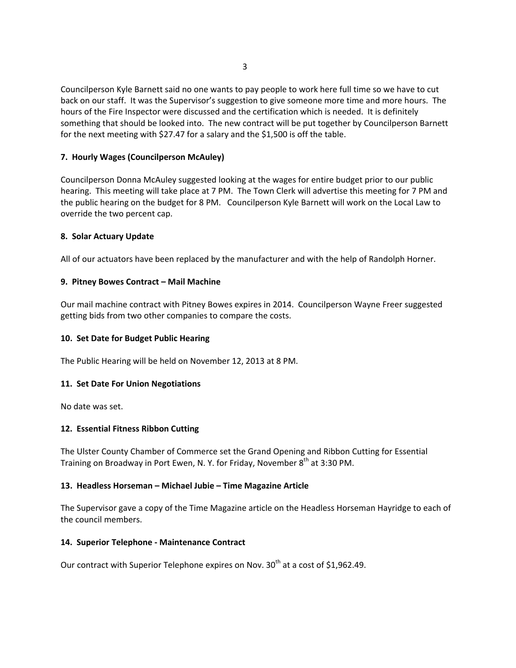Councilperson Kyle Barnett said no one wants to pay people to work here full time so we have to cut back on our staff. It was the Supervisor's suggestion to give someone more time and more hours. The hours of the Fire Inspector were discussed and the certification which is needed. It is definitely something that should be looked into. The new contract will be put together by Councilperson Barnett for the next meeting with \$27.47 for a salary and the \$1,500 is off the table.

# **7. Hourly Wages (Councilperson McAuley)**

Councilperson Donna McAuley suggested looking at the wages for entire budget prior to our public hearing. This meeting will take place at 7 PM. The Town Clerk will advertise this meeting for 7 PM and the public hearing on the budget for 8 PM. Councilperson Kyle Barnett will work on the Local Law to override the two percent cap.

# **8. Solar Actuary Update**

All of our actuators have been replaced by the manufacturer and with the help of Randolph Horner.

# **9. Pitney Bowes Contract – Mail Machine**

Our mail machine contract with Pitney Bowes expires in 2014. Councilperson Wayne Freer suggested getting bids from two other companies to compare the costs.

## **10. Set Date for Budget Public Hearing**

The Public Hearing will be held on November 12, 2013 at 8 PM.

## **11. Set Date For Union Negotiations**

No date was set.

# **12. Essential Fitness Ribbon Cutting**

The Ulster County Chamber of Commerce set the Grand Opening and Ribbon Cutting for Essential Training on Broadway in Port Ewen, N.Y. for Friday, November 8<sup>th</sup> at 3:30 PM.

## **13. Headless Horseman – Michael Jubie – Time Magazine Article**

The Supervisor gave a copy of the Time Magazine article on the Headless Horseman Hayridge to each of the council members.

## **14. Superior Telephone ‐ Maintenance Contract**

Our contract with Superior Telephone expires on Nov.  $30<sup>th</sup>$  at a cost of \$1,962.49.